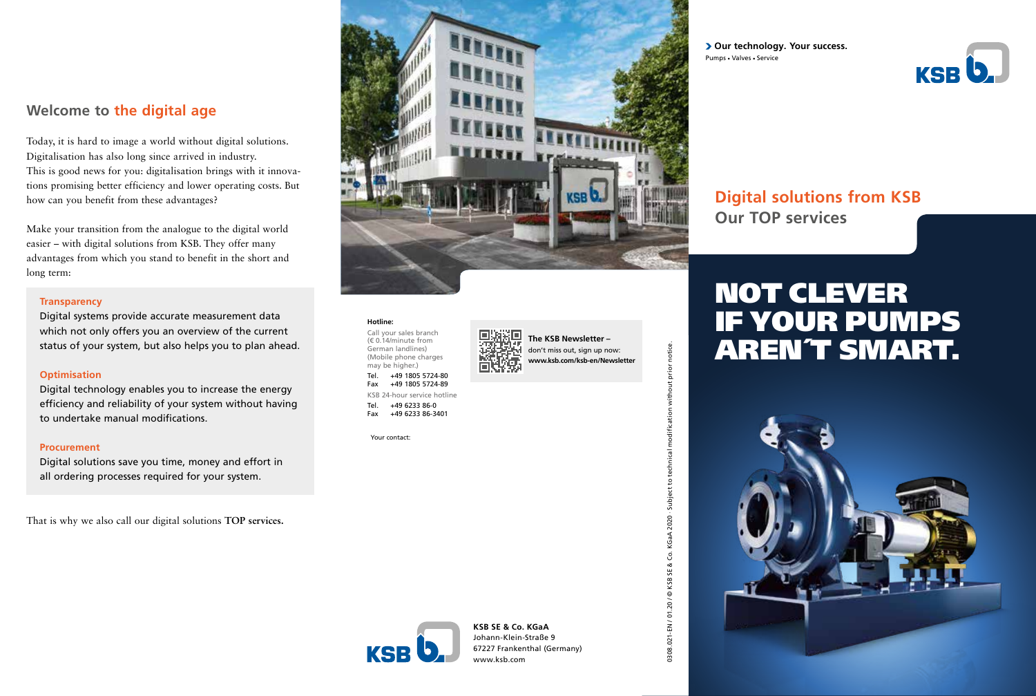# **Welcome to the digital age**

Today, it is hard to image a world without digital solutions. Digitalisation has also long since arrived in industry. This is good news for you: digitalisation brings with it innovations promising better efficiency and lower operating costs. But how can you benefit from these advantages?

Make your transition from the analogue to the digital world easier – with digital solutions from KSB. They offer many advantages from which you stand to benefit in the short and long term:

#### **Transparency**

Digital systems provide accurate measurement data which not only offers you an overview of the current status of your system, but also helps you to plan ahead.

#### **Optimisation**

Digital technology enables you to increase the energy efficiency and reliability of your system without having to undertake manual modifications.

#### **Procurement**

Digital solutions save you time, money and effort in all ordering processes required for your system.

That is why we also call our digital solutions **TOP services.** 



**The KSB Newsletter –** don't miss out, sign up now: **www.ksb.com/ksb-en/Newsletter**

### **Hotline:**

Call your sales branch (€ 0.14/minute from German landlines) (Mobile phone charges may be higher.) Tel. +49 1805 5724-80 Fax +49 1805 5724-89 KSB 24-hour service hotline Tel. +49 6233 86-0 Fax +49 6233 86-3401

Your contact:

**> Our technology. Your success.** Pumps - Valves - Service



# **Digital solutions from KSB Our TOP services**

# NOT CLEVER IF YOUR PUMPS AREN´T SMART.





**KSB SE & Co. KGaA** Johann-Klein-Straße 9 67227 Frankenthal (Germany) www.ksb.com

0308.021-EN / 01.20 / © KSB SE & Co. KGaA 2020 · Subject to technical modification without prior notice.

0308.021-EN / 01.20 / ©

without prior notice.

**aific** 

echni  $\overline{c}$ Subject 2020 KGaA Š KSB SE &